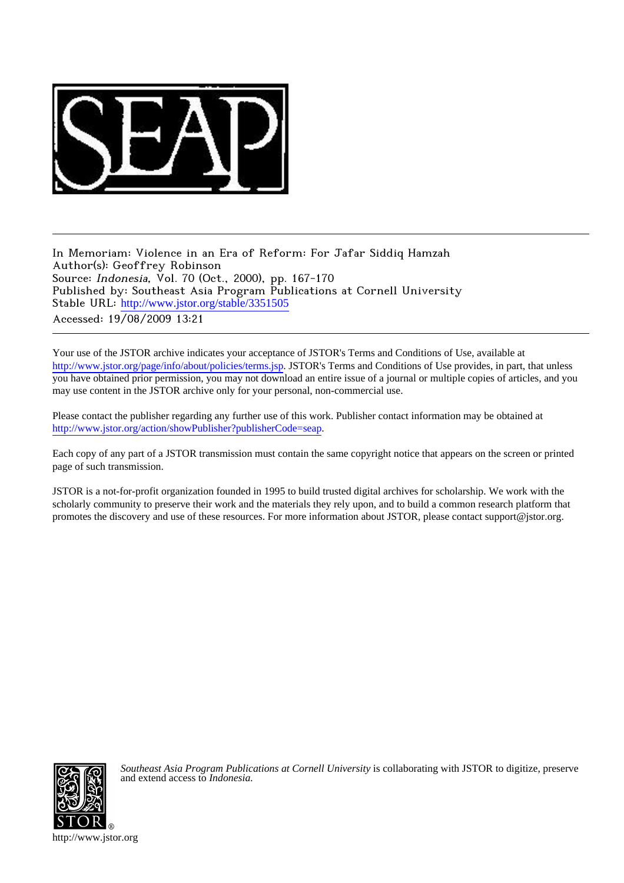

In Memoriam: Violence in an Era of Reform: For Jafar Siddiq Hamzah Author(s): Geoffrey Robinson Source: Indonesia, Vol. 70 (Oct., 2000), pp. 167-170 Published by: Southeast Asia Program Publications at Cornell University Stable URL: [http://www.jstor.org/stable/3351505](http://www.jstor.org/stable/3351505?origin=JSTOR-pdf) Accessed: 19/08/2009 13:21

Your use of the JSTOR archive indicates your acceptance of JSTOR's Terms and Conditions of Use, available at <http://www.jstor.org/page/info/about/policies/terms.jsp>. JSTOR's Terms and Conditions of Use provides, in part, that unless you have obtained prior permission, you may not download an entire issue of a journal or multiple copies of articles, and you may use content in the JSTOR archive only for your personal, non-commercial use.

Please contact the publisher regarding any further use of this work. Publisher contact information may be obtained at [http://www.jstor.org/action/showPublisher?publisherCode=seap.](http://www.jstor.org/action/showPublisher?publisherCode=seap)

Each copy of any part of a JSTOR transmission must contain the same copyright notice that appears on the screen or printed page of such transmission.

JSTOR is a not-for-profit organization founded in 1995 to build trusted digital archives for scholarship. We work with the scholarly community to preserve their work and the materials they rely upon, and to build a common research platform that promotes the discovery and use of these resources. For more information about JSTOR, please contact support@jstor.org.



*Southeast Asia Program Publications at Cornell University* is collaborating with JSTOR to digitize, preserve and extend access to *Indonesia.*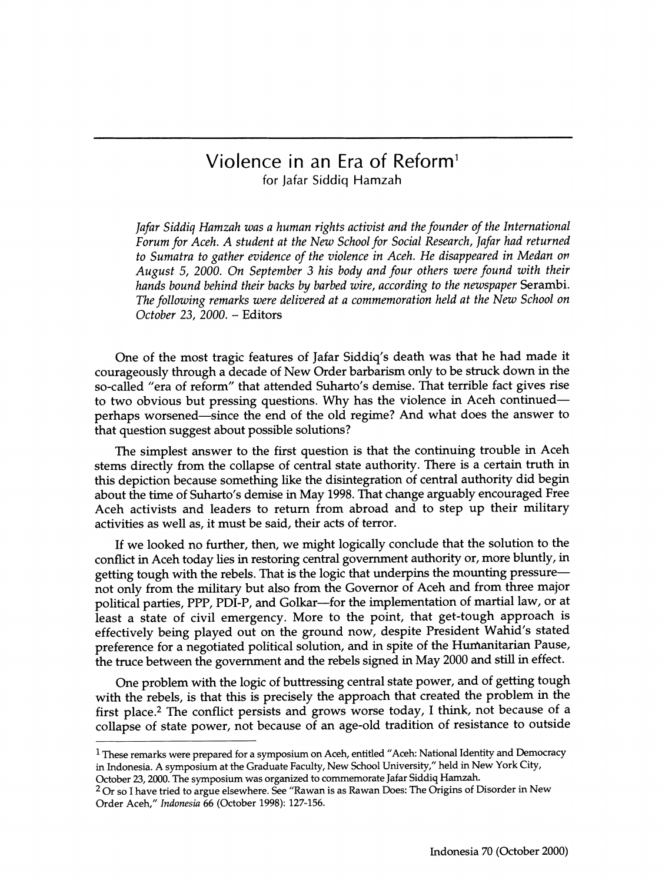## **Violence in an Era of Reform1 for Jafar Siddiq Hamzah**

Jafar Siddiq Hamzah was a human rights activist and the founder of the International **Forum for Aceh. A student at the New School for Social Research, Jafar had returned to Sumatra to gather evidence of the violence in Aceh. He disappeared in Medan on August 5, 2000. On September 3 his body and four others were found with their hands bound behind their backs by barbed wire, according to the newspaper Serambi. The following remarks were delivered at a commemoration held at the New School on October 23, 2000. - Editors** 

**I I** 

**One of the most tragic features of Jafar Siddiq's death was that he had made it courageously through a decade of New Order barbarism only to be struck down in the so-called "era of reform" that attended Suharto's demise. That terrible fact gives rise to two obvious but pressing questions. Why has the violence in Aceh continuedperhaps worsened-since the end of the old regime? And what does the answer to that question suggest about possible solutions?** 

**The simplest answer to the first question is that the continuing trouble in Aceh stems directly from the collapse of central state authority. There is a certain truth in this depiction because something like the disintegration of central authority did begin about the time of Suharto's demise in May 1998. That change arguably encouraged Free Aceh activists and leaders to return from abroad and to step up their military activities as well as, it must be said, their acts of terror.** 

**If we looked no further, then, we might logically conclude that the solution to the conflict in Aceh today lies in restoring central government authority or, more bluntly, in getting tough with the rebels. That is the logic that underpins the mounting pressurenot only from the military but also from the Governor of Aceh and from three major political parties, PPP, PDI-P, and Golkar-for the implementation of martial law, or at least a state of civil emergency. More to the point, that get-tough approach is effectively being played out on the ground now, despite President Wahid's stated preference for a negotiated political solution, and in spite of the Hurnanitarian Pause, the truce between the government and the rebels signed in May 2000 and still in effect.** 

**One problem with the logic of buttressing central state power, and of getting tough with the rebels, is that this is precisely the approach that created the problem in the first place.2 The conflict persists and grows worse today, I think, not because of a collapse of state power, not because of an age-old tradition of resistance to outside** 

**<sup>1</sup> These remarks were prepared for a symposium on Aceh, entitled "Aceh: National Identity and Democracy in Indonesia. A symposium at the Graduate Faculty, New School University," held in New York City, October 23, 2000. The symposium was organized to commemorate Jafar Siddiq Hamzah.** 

**<sup>2</sup> Or so I have tried to argue elsewhere. See "Rawan is as Rawan Does: The Origins of Disorder in New Order Aceh," Indonesia 66 (October 1998): 127-156.**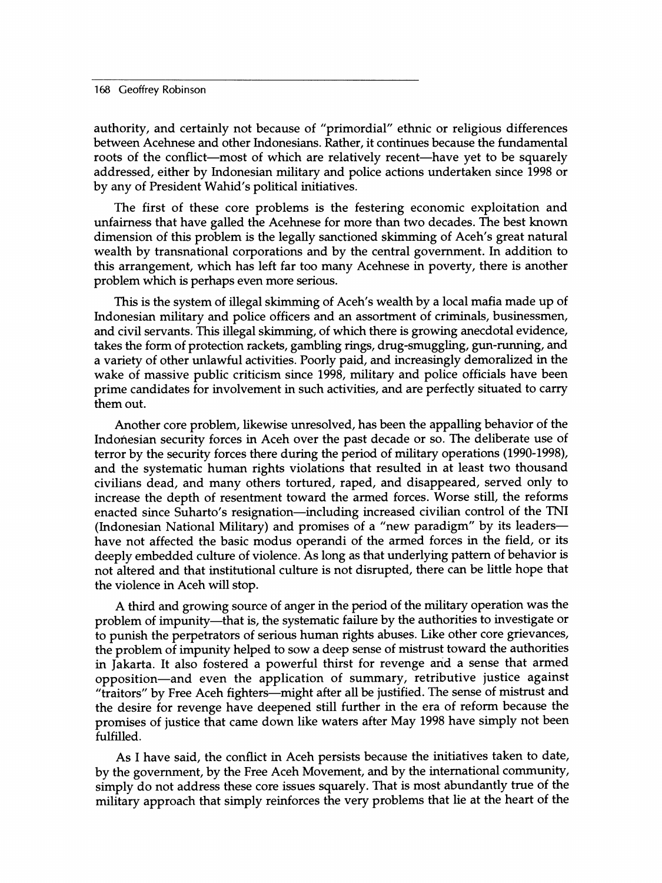**168 Geoffrey Robinson** 

**authority, and certainly not because of "primordial" ethnic or religious differences between Acehnese and other Indonesians. Rather, it continues because the fundamental**  roots of the conflict—most of which are relatively recent—have yet to be squarely **addressed, either by Indonesian military and police actions undertaken since 1998 or by any of President Wahid's political initiatives.** 

**The first of these core problems is the festering economic exploitation and unfairness that have galled the Acehnese for more than two decades. The best known dimension of this problem is the legally sanctioned skimming of Aceh's great natural wealth by transnational corporations and by the central government. In addition to this arrangement, which has left far too many Acehnese in poverty, there is another problem which is perhaps even more serious.** 

**This is the system of illegal skimming of Aceh's wealth by a local mafia made up of Indonesian military and police officers and an assortment of criminals, businessmen, and civil servants. This illegal skimming, of which there is growing anecdotal evidence, takes the form of protection rackets, gambling rings, drug-smuggling, gun-running, and a variety of other unlawful activities. Poorly paid, and increasingly demoralized in the wake of massive public criticism since 1998, military and police officials have been prime candidates for involvement in such activities, and are perfectly situated to carry them out.** 

**Another core problem, likewise unresolved, has been the appalling behavior of the Indonesian security forces in Aceh over the past decade or so. The deliberate use of terror by the security forces there during the period of military operations (1990-1998), and the systematic human rights violations that resulted in at least two thousand civilians dead, and many others tortured, raped, and disappeared, served only to increase the depth of resentment toward the armed forces. Worse still, the reforms**  enacted since Suharto's resignation—including increased civilian control of the TNI **(Indonesian National Military) and promises of a "new paradigm" by its leadershave not affected the basic modus operandi of the armed forces in the field, or its deeply embedded culture of violence. As long as that underlying pattern of behavior is not altered and that institutional culture is not disrupted, there can be little hope that the violence in Aceh will stop.** 

**A third and growing source of anger in the period of the military operation was the**  problem of impunity—that is, the systematic failure by the authorities to investigate or **to punish the perpetrators of serious human rights abuses. Like other core grievances, the problem of impunity helped to sow a deep sense of mistrust toward the authorities in Jakarta. It also fostered a powerful thirst for revenge and a sense that armed opposition-and even the application of summary, retributive justice against**  "traitors" by Free Aceh fighters—might after all be justified. The sense of mistrust and **the desire for revenge have deepened still further in the era of reform because the promises of justice that came down like waters after May 1998 have simply not been fulfilled.** 

**As I have said, the conflict in Aceh persists because the initiatives taken to date, by the government, by the Free Aceh Movement, and by the international community, simply do not address these core issues squarely. That is most abundantly true of the military approach that simply reinforces the very problems that lie at the heart of the**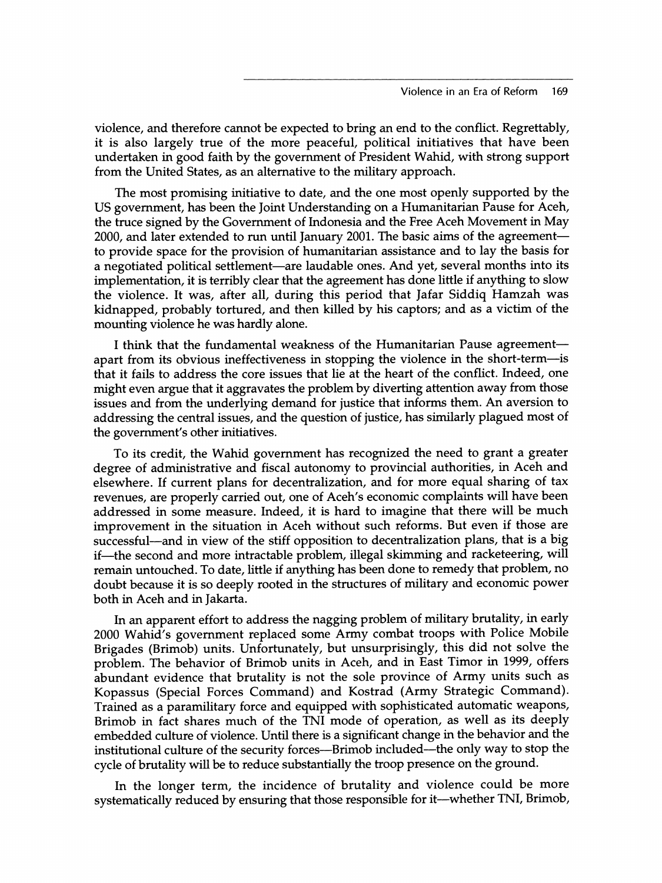**violence, and therefore cannot be expected to bring an end to the conflict. Regrettably, it is also largely true of the more peaceful, political initiatives that have been undertaken in good faith by the government of President Wahid, with strong support from the United States, as an alternative to the military approach.** 

**The most promising initiative to date, and the one most openly supported by the US government, has been the Joint Understanding on a Humanitarian Pause for Aceh, the truce signed by the Government of Indonesia and the Free Aceh Movement in May**  2000, and later extended to run until January 2001. The basic aims of the agreement**to provide space for the provision of humanitarian assistance and to lay the basis for a negotiated political settlement-are laudable ones. And yet, several months into its implementation, it is terribly clear that the agreement has done little if anything to slow the violence. It was, after all, during this period that Jafar Siddiq Hamzah was kidnapped, probably tortured, and then killed by his captors; and as a victim of the mounting violence he was hardly alone.** 

**I think that the fundamental weakness of the Humanitarian Pause agreementapart from its obvious ineffectiveness in stopping the violence in the short-term-is that it fails to address the core issues that lie at the heart of the conflict. Indeed, one might even argue that it aggravates the problem by diverting attention away from those issues and from the underlying demand for justice that informs them. An aversion to addressing the central issues, and the question of justice, has similarly plagued most of the government's other initiatives.** 

**To its credit, the Wahid government has recognized the need to grant a greater degree of administrative and fiscal autonomy to provincial authorities, in Aceh and elsewhere. If current plans for decentralization, and for more equal sharing of tax revenues, are properly carried out, one of Aceh's economic complaints will have been addressed in some measure. Indeed, it is hard to imagine that there will be much improvement in the situation in Aceh without such reforms. But even if those are successful-and in view of the stiff opposition to decentralization plans, that is a big**  if—the second and more intractable problem, illegal skimming and racketeering, will **remain untouched. To date, little if anything has been done to remedy that problem, no doubt because it is so deeply rooted in the structures of military and economic power both in Aceh and in Jakarta.** 

**In an apparent effort to address the nagging problem of military brutality, in early 2000 Wahid's government replaced some Army combat troops with Police Mobile Brigades (Brimob) units. Unfortunately, but unsurprisingly, this did not solve the problem. The behavior of Brimob units in Aceh, and in East Timor in 1999, offers abundant evidence that brutality is not the sole province of Army units such as Kopassus (Special Forces Command) and Kostrad (Army Strategic Command). Trained as a paramilitary force and equipped with sophisticated automatic weapons, Brimob in fact shares much of the TNI mode of operation, as well as its deeply embedded culture of violence. Until there is a significant change in the behavior and the institutional culture of the security forces-Brimob included-the only way to stop the cycle of brutality will be to reduce substantially the troop presence on the ground.** 

**In the longer term, the incidence of brutality and violence could be more systematically reduced by ensuring that those responsible for it-whether TNI, Brimob,**